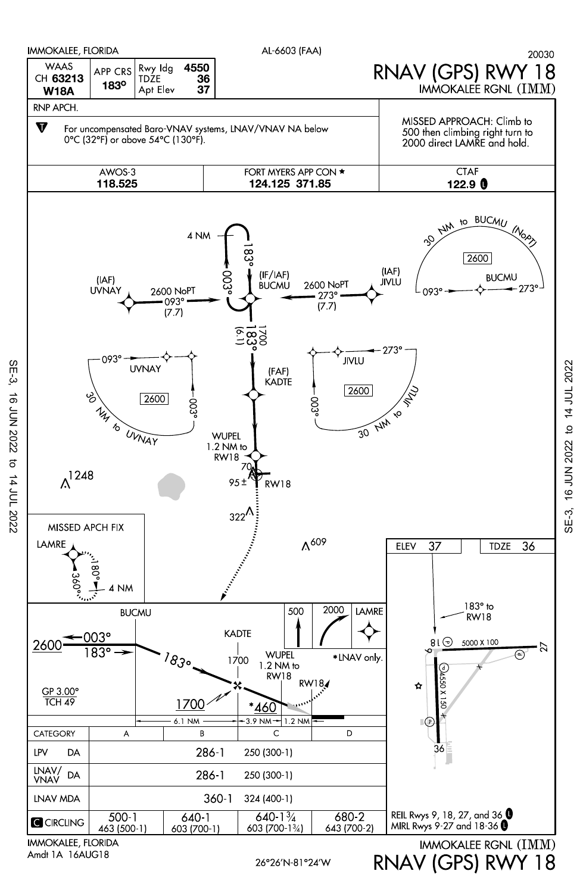

SE-3, 16 JUN 2022 to 14 JUL 2022

 $\sigma$ 

14 JUL 2022

**16 JUN 2022** 

 $SE-3$ 

RNAV (GPS) RWY 18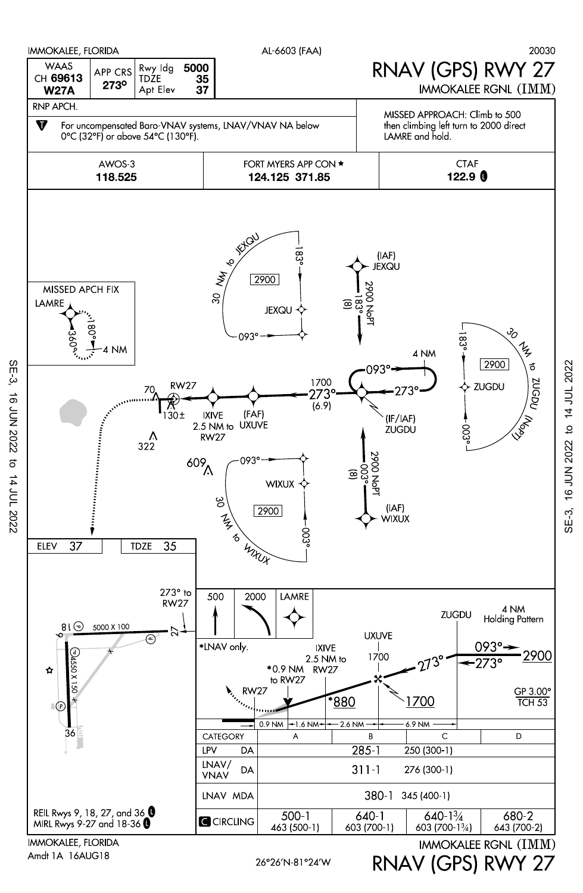

 $SE-3$ SE-3, 16 JUN 2022 to 14 JUL 2022 **16 JUN 2022** 14 JUL 2022

Amdt 1A 16AUG18

26°26'N-81°24'W

RNAV (GPS) RWY 27

SE-3, 16 JUN 2022 to 14 JUL 2022

16 JUN 2022

 $SE-3$ ,

to 14 JUL 2022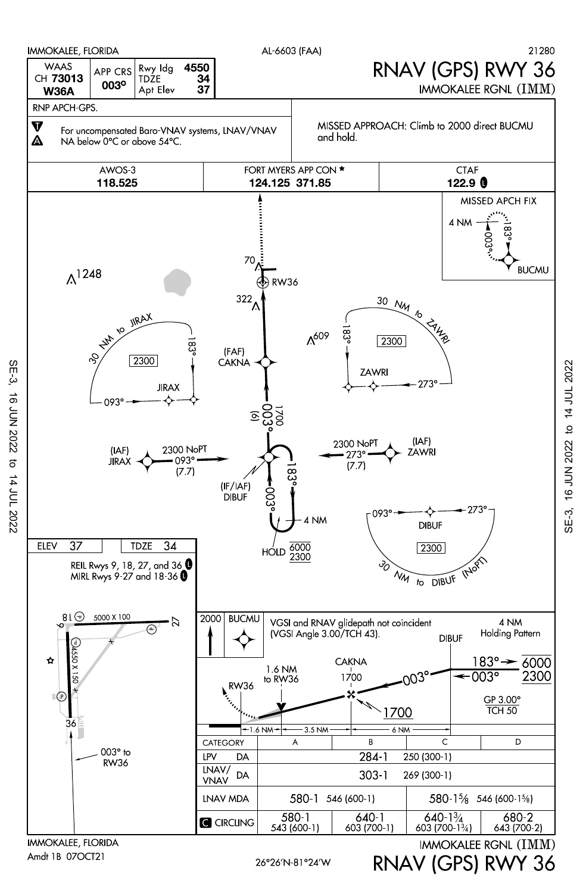

 $SE-3$ 

**16 JUN 2022** 

 $\sigma$ 

14 JUL 2022

to 14 JUL 2022 16 JUN 2022  $SE-3$ 

RNAV (GPS) RWY 36